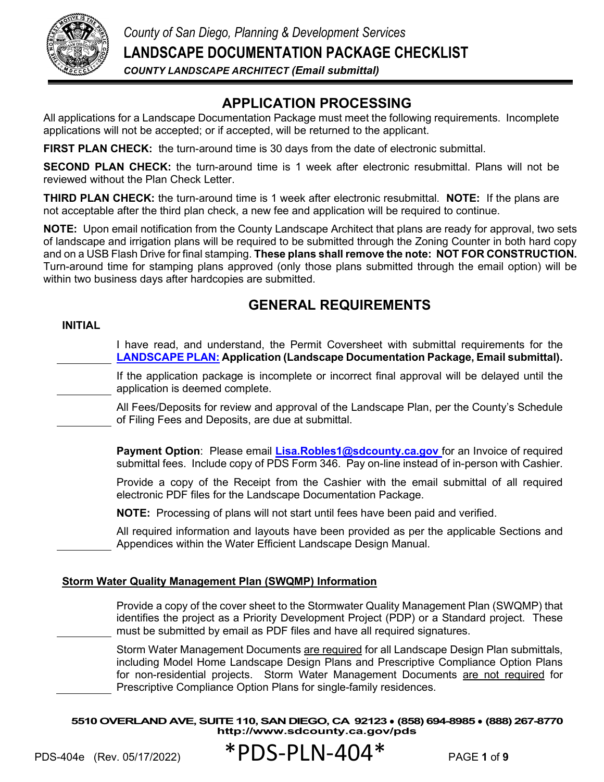

# **APPLICATION PROCESSING**

All applications for a Landscape Documentation Package must meet the following requirements. Incomplete applications will not be accepted; or if accepted, will be returned to the applicant.

**FIRST PLAN CHECK:** the turn-around time is 30 days from the date of electronic submittal.

**SECOND PLAN CHECK:** the turn-around time is 1 week after electronic resubmittal. Plans will not be reviewed without the Plan Check Letter.

**THIRD PLAN CHECK:** the turn-around time is 1 week after electronic resubmittal. **NOTE:** If the plans are not acceptable after the third plan check, a new fee and application will be required to continue.

**NOTE:** Upon email notification from the County Landscape Architect that plans are ready for approval, two sets of landscape and irrigation plans will be required to be submitted through the Zoning Counter in both hard copy and on a USB Flash Drive for final stamping. **These plans shall remove the note: NOT FOR CONSTRUCTION.**  Turn-around time for stamping plans approved (only those plans submitted through the email option) will be within two business days after hardcopies are submitted.

# **GENERAL REQUIREMENTS**

### **INITIAL**

I have read, and understand, the Permit Coversheet with submittal requirements for the **[LANDSCAPE PLAN:](http://aemauthor.sdcounty.ca.gov/content/dam/sdc/pds/zoning/formfields/PDS-PLN-ESUB_LP_Application_e.pdf) Application (Landscape Documentation Package, Email submittal).**

If the application package is incomplete or incorrect final approval will be delayed until the application is deemed complete.

All Fees/Deposits for review and approval of the Landscape Plan, per the County's Schedule of Filing Fees and Deposits, are due at submittal.

**Payment Option**: Please email **[Lisa.Robles1@sdcounty.ca.gov](mailto:Lisa.Robles1@sdcounty.ca.gov)** for an Invoice of required submittal fees. Include copy of PDS Form 346. Pay on-line instead of in-person with Cashier.

Provide a copy of the Receipt from the Cashier with the email submittal of all required electronic PDF files for the Landscape Documentation Package.

**NOTE:** Processing of plans will not start until fees have been paid and verified.

All required information and layouts have been provided as per the applicable Sections and Appendices within the Water Efficient Landscape Design Manual.

### **Storm Water Quality Management Plan (SWQMP) Information**

Provide a copy of the cover sheet to the Stormwater Quality Management Plan (SWQMP) that identifies the project as a Priority Development Project (PDP) or a Standard project. These must be submitted by email as PDF files and have all required signatures.

Storm Water Management Documents are required for all Landscape Design Plan submittals, including Model Home Landscape Design Plans and Prescriptive Compliance Option Plans for non-residential projects. Storm Water Management Documents are not required for Prescriptive Compliance Option Plans for single-family residences.

**5510 OVERLAND AVE, SUITE 110, SAN DIEGO, CA 92123** ● **(858) 694-8985** ● **(888) 267-8770 <http://www.sdcounty.ca.gov/pds>**

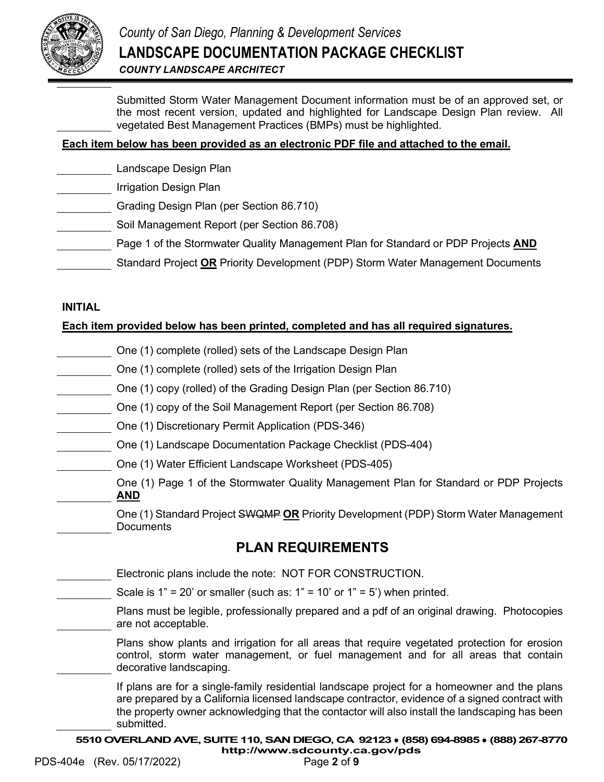

Submitted Storm Water Management Document information must be of an approved set, or the most recent version, updated and highlighted for Landscape Design Plan review. All vegetated Best Management Practices (BMPs) must be highlighted.

## **Each item below has been provided as an electronic PDF file and attached to the email.**

- Landscape Design Plan
- Irrigation Design Plan
- Grading Design Plan (per Section 86.710)
- Soil Management Report (per Section 86.708)
- Page 1 of the Stormwater Quality Management Plan for Standard or PDP Projects **AND**
- Standard Project **OR** Priority Development (PDP) Storm Water Management Documents

### **INITIAL**

## **Each item provided below has been printed, completed and has all required signatures.**

- One (1) complete (rolled) sets of the Landscape Design Plan
- One (1) complete (rolled) sets of the Irrigation Design Plan
- One (1) copy (rolled) of the Grading Design Plan (per Section 86.710)
- One (1) copy of the Soil Management Report (per Section 86.708)
- One (1) Discretionary Permit Application (PDS-346)
- One (1) Landscape Documentation Package Checklist (PDS-404)
- One (1) Water Efficient Landscape Worksheet (PDS-405)
- One (1) Page 1 of the Stormwater Quality Management Plan for Standard or PDP Projects **AND**
	- One (1) Standard Project SWQMP **OR** Priority Development (PDP) Storm Water Management **Documents**

## **PLAN REQUIREMENTS**

Electronic plans include the note: NOT FOR CONSTRUCTION.

Scale is  $1" = 20'$  or smaller (such as:  $1" = 10'$  or  $1" = 5'$ ) when printed.

Plans must be legible, professionally prepared and a pdf of an original drawing. Photocopies are not acceptable.

Plans show plants and irrigation for all areas that require vegetated protection for erosion control, storm water management, or fuel management and for all areas that contain decorative landscaping.

If plans are for a single-family residential landscape project for a homeowner and the plans are prepared by a California licensed landscape contractor, evidence of a signed contract with the property owner acknowledging that the contactor will also install the landscaping has been submitted.

**5510 OVERLAND AVE, SUITE 110, SAN DIEGO, CA 92123** ● **(858) 694-8985** ● **(888) 267-8770**

**<http://www.sdcounty.ca.gov/pds>**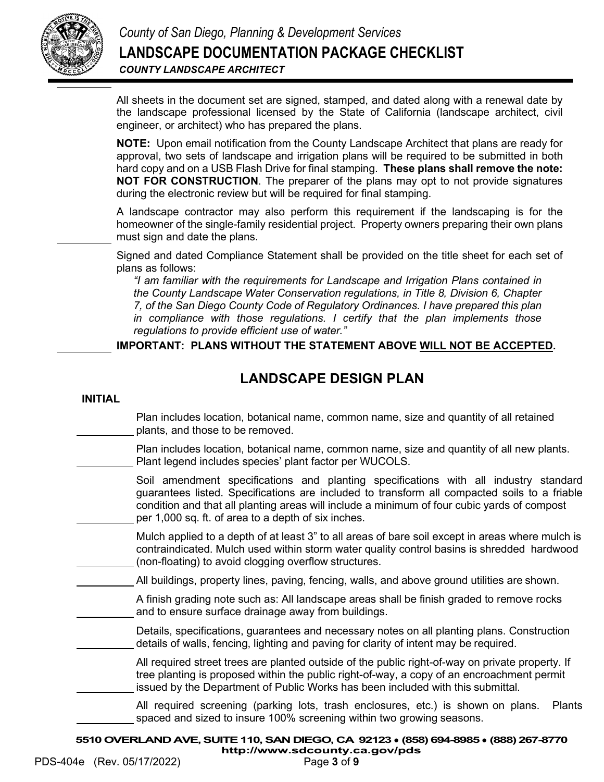

All sheets in the document set are signed, stamped, and dated along with a renewal date by the landscape professional licensed by the State of California (landscape architect, civil engineer, or architect) who has prepared the plans.

**NOTE:** Upon email notification from the County Landscape Architect that plans are ready for approval, two sets of landscape and irrigation plans will be required to be submitted in both hard copy and on a USB Flash Drive for final stamping. **These plans shall remove the note: NOT FOR CONSTRUCTION**. The preparer of the plans may opt to not provide signatures during the electronic review but will be required for final stamping.

A landscape contractor may also perform this requirement if the landscaping is for the homeowner of the single-family residential project. Property owners preparing their own plans must sign and date the plans.

Signed and dated Compliance Statement shall be provided on the title sheet for each set of plans as follows:

*"I am familiar with the requirements for Landscape and Irrigation Plans contained in the County Landscape Water Conservation regulations, in Title 8, Division 6, Chapter 7, of the San Diego County Code of Regulatory Ordinances. I have prepared this plan in compliance with those regulations. I certify that the plan implements those regulations to provide efficient use of water."* 

**IMPORTANT: PLANS WITHOUT THE STATEMENT ABOVE WILL NOT BE ACCEPTED.**

# **LANDSCAPE DESIGN PLAN**

Plan includes location, botanical name, common name, size and quantity of all retained plants, and those to be removed.

Plan includes location, botanical name, common name, size and quantity of all new plants. Plant legend includes species' plant factor per WUCOLS.

Soil amendment specifications and planting specifications with all industry standard guarantees listed. Specifications are included to transform all compacted soils to a friable condition and that all planting areas will include a minimum of four cubic yards of compost per 1,000 sq. ft. of area to a depth of six inches.

Mulch applied to a depth of at least 3" to all areas of bare soil except in areas where mulch is contraindicated. Mulch used within storm water quality control basins is shredded hardwood (non-floating) to avoid clogging overflow structures.

All buildings, property lines, paving, fencing, walls, and above ground utilities are shown.

A finish grading note such as: All landscape areas shall be finish graded to remove rocks and to ensure surface drainage away from buildings.

Details, specifications, guarantees and necessary notes on all planting plans. Construction details of walls, fencing, lighting and paving for clarity of intent may be required.

All required street trees are planted outside of the public right-of-way on private property. If tree planting is proposed within the public right-of-way, a copy of an encroachment permit issued by the Department of Public Works has been included with this submittal.

All required screening (parking lots, trash enclosures, etc.) is shown on plans. Plants spaced and sized to insure 100% screening within two growing seasons.

**5510 OVERLAND AVE, SUITE 110, SAN DIEGO, CA 92123** ● **(858) 694-8985** ● **(888) 267-8770 <http://www.sdcounty.ca.gov/pds>**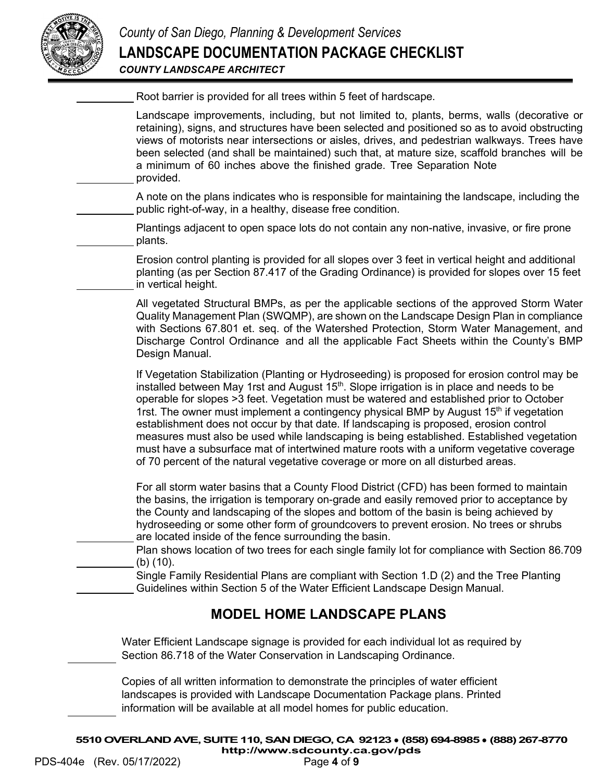

| Root barrier is provided for all trees within 5 feet of hardscape. |  |
|--------------------------------------------------------------------|--|
|                                                                    |  |

Landscape improvements, including, but not limited to, plants, berms, walls (decorative or retaining), signs, and structures have been selected and positioned so as to avoid obstructing views of motorists near intersections or aisles, drives, and pedestrian walkways. Trees have been selected (and shall be maintained) such that, at mature size, scaffold branches will be a minimum of 60 inches above the finished grade. Tree Separation Note provided.

A note on the plans indicates who is responsible for maintaining the landscape, including the public right-of-way, in a healthy, disease free condition.

Plantings adjacent to open space lots do not contain any non-native, invasive, or fire prone plants.

Erosion control planting is provided for all slopes over 3 feet in vertical height and additional planting (as per Section 87.417 of the Grading Ordinance) is provided for slopes over 15 feet in vertical height.

All vegetated Structural BMPs, as per the applicable sections of the approved Storm Water Quality Management Plan (SWQMP), are shown on the Landscape Design Plan in compliance with Sections 67.801 et. seq. of the Watershed Protection, Storm Water Management, and Discharge Control Ordinance and all the applicable Fact Sheets within the County's BMP Design Manual.

If Vegetation Stabilization (Planting or Hydroseeding) is proposed for erosion control may be installed between May 1rst and August  $15<sup>th</sup>$ . Slope irrigation is in place and needs to be operable for slopes >3 feet. Vegetation must be watered and established prior to October 1rst. The owner must implement a contingency physical BMP by August  $15<sup>th</sup>$  if vegetation establishment does not occur by that date. If landscaping is proposed, erosion control measures must also be used while landscaping is being established. Established vegetation must have a subsurface mat of intertwined mature roots with a uniform vegetative coverage of 70 percent of the natural vegetative coverage or more on all disturbed areas.

For all storm water basins that a County Flood District (CFD) has been formed to maintain the basins, the irrigation is temporary on-grade and easily removed prior to acceptance by the County and landscaping of the slopes and bottom of the basin is being achieved by hydroseeding or some other form of groundcovers to prevent erosion. No trees or shrubs are located inside of the fence surrounding the basin.

Plan shows location of two trees for each single family lot for compliance with Section 86.709 (b) (10).

Single Family Residential Plans are compliant with Section 1.D (2) and the Tree Planting Guidelines within Section 5 of the Water Efficient Landscape Design Manual.

# **MODEL HOME LANDSCAPE PLANS**

Water Efficient Landscape signage is provided for each individual lot as required by Section 86.718 of the Water Conservation in Landscaping Ordinance.

Copies of all written information to demonstrate the principles of water efficient landscapes is provided with Landscape Documentation Package plans. Printed information will be available at all model homes for public education.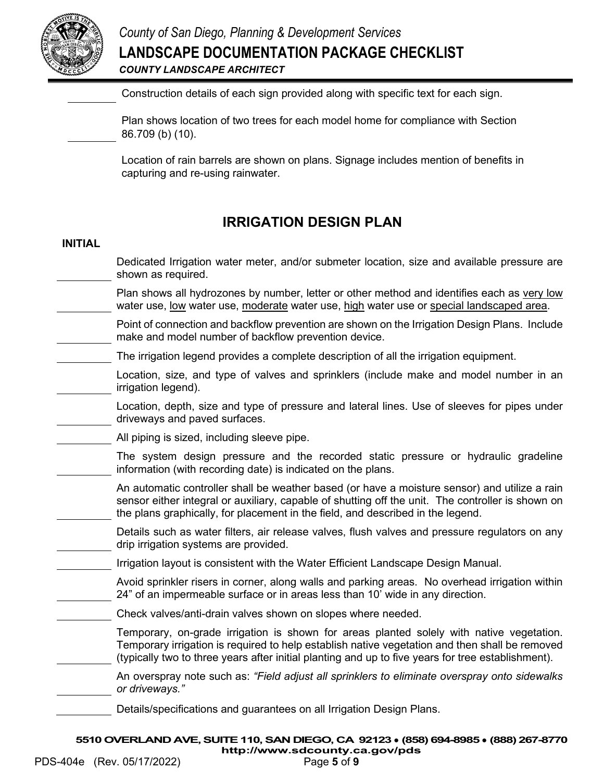

Construction details of each sign provided along with specific text for each sign.

Plan shows location of two trees for each model home for compliance with Section 86.709 (b) (10).

Location of rain barrels are shown on plans. Signage includes mention of benefits in capturing and re-using rainwater.

# **IRRIGATION DESIGN PLAN**

### **INITIAL**

- Dedicated Irrigation water meter, and/or submeter location, size and available pressure are shown as required.
- Plan shows all hydrozones by number, letter or other method and identifies each as very low water use, low water use, moderate water use, high water use or special landscaped area.
	- Point of connection and backflow prevention are shown on the Irrigation Design Plans. Include make and model number of backflow prevention device.
- The irrigation legend provides a complete description of all the irrigation equipment.
	- Location, size, and type of valves and sprinklers (include make and model number in an irrigation legend).
	- Location, depth, size and type of pressure and lateral lines. Use of sleeves for pipes under driveways and paved surfaces.
- All piping is sized, including sleeve pipe.
	- The system design pressure and the recorded static pressure or hydraulic gradeline information (with recording date) is indicated on the plans.
		- An automatic controller shall be weather based (or have a moisture sensor) and utilize a rain sensor either integral or auxiliary, capable of shutting off the unit. The controller is shown on the plans graphically, for placement in the field, and described in the legend.
	- Details such as water filters, air release valves, flush valves and pressure regulators on any drip irrigation systems are provided.
- Irrigation layout is consistent with the Water Efficient Landscape Design Manual.
	- Avoid sprinkler risers in corner, along walls and parking areas. No overhead irrigation within 24" of an impermeable surface or in areas less than 10' wide in any direction.
		- Check valves/anti-drain valves shown on slopes where needed.
			- Temporary, on-grade irrigation is shown for areas planted solely with native vegetation. Temporary irrigation is required to help establish native vegetation and then shall be removed (typically two to three years after initial planting and up to five years for tree establishment).
	- An overspray note such as: *"Field adjust all sprinklers to eliminate overspray onto sidewalks or driveways."*
	- Details/specifications and guarantees on all Irrigation Design Plans.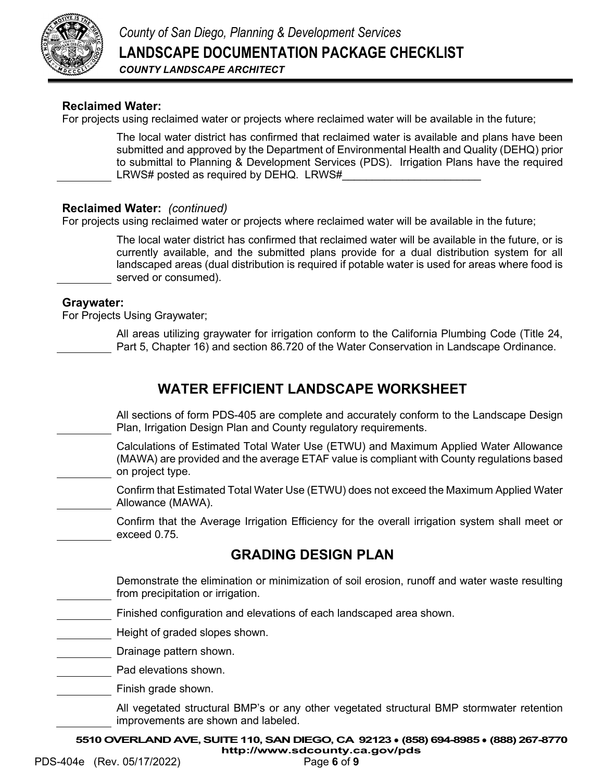

## **Reclaimed Water:**

For projects using reclaimed water or projects where reclaimed water will be available in the future;

The local water district has confirmed that reclaimed water is available and plans have been submitted and approved by the Department of Environmental Health and Quality (DEHQ) prior to submittal to Planning & Development Services (PDS). Irrigation Plans have the required LRWS# posted as required by DEHQ. LRWS#

### **Reclaimed Water:** *(continued)*

For projects using reclaimed water or projects where reclaimed water will be available in the future;

The local water district has confirmed that reclaimed water will be available in the future, or is currently available, and the submitted plans provide for a dual distribution system for all landscaped areas (dual distribution is required if potable water is used for areas where food is served or consumed).

### **Graywater:**

For Projects Using Graywater;

All areas utilizing graywater for irrigation conform to the California Plumbing Code (Title 24, Part 5, Chapter 16) and section 86.720 of the Water Conservation in Landscape Ordinance.

## **WATER EFFICIENT LANDSCAPE WORKSHEET**

All sections of form PDS-405 are complete and accurately conform to the Landscape Design Plan, Irrigation Design Plan and County regulatory requirements.

Calculations of Estimated Total Water Use (ETWU) and Maximum Applied Water Allowance (MAWA) are provided and the average ETAF value is compliant with County regulations based on project type.

Confirm that Estimated Total Water Use (ETWU) does not exceed the Maximum Applied Water Allowance (MAWA).

Confirm that the Average Irrigation Efficiency for the overall irrigation system shall meet or exceed 0.75.

## **GRADING DESIGN PLAN**

Demonstrate the elimination or minimization of soil erosion, runoff and water waste resulting from precipitation or irrigation.

Finished configuration and elevations of each landscaped area shown.

Height of graded slopes shown.

Drainage pattern shown.

Pad elevations shown.

Finish grade shown.

All vegetated structural BMP's or any other vegetated structural BMP stormwater retention improvements are shown and labeled.

**5510 OVERLAND AVE, SUITE 110, SAN DIEGO, CA 92123** ● **(858) 694-8985** ● **(888) 267-8770**

**<http://www.sdcounty.ca.gov/pds>**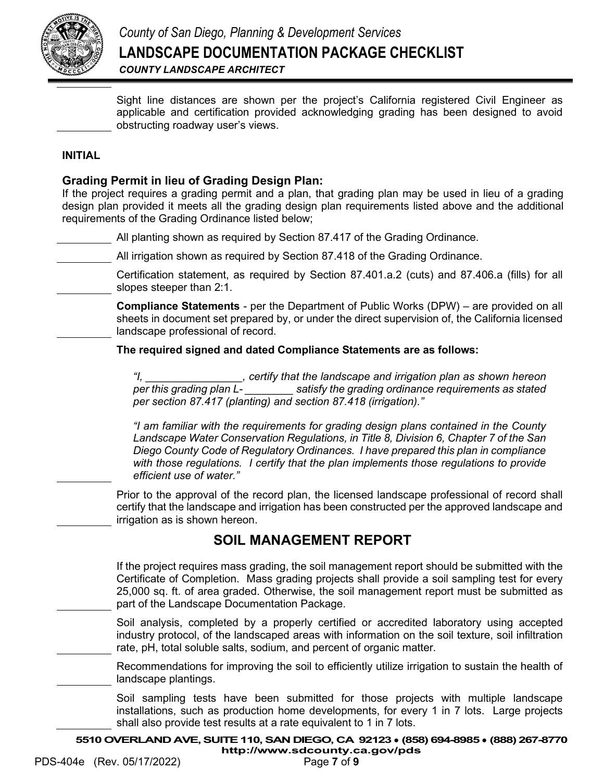

Sight line distances are shown per the project's California registered Civil Engineer as applicable and certification provided acknowledging grading has been designed to avoid obstructing roadway user's views.

## **INITIAL**

## **Grading Permit in lieu of Grading Design Plan:**

If the project requires a grading permit and a plan, that grading plan may be used in lieu of a grading design plan provided it meets all the grading design plan requirements listed above and the additional requirements of the Grading Ordinance listed below;

All planting shown as required by Section 87.417 of the Grading Ordinance.

All irrigation shown as required by Section 87.418 of the Grading Ordinance.

Certification statement, as required by Section 87.401.a.2 (cuts) and 87.406.a (fills) for all slopes steeper than 2:1.

**Compliance Statements** - per the Department of Public Works (DPW) – are provided on all sheets in document set prepared by, or under the direct supervision of, the California licensed landscape professional of record.

**The required signed and dated Compliance Statements are as follows:**

*"I, \_\_\_\_\_\_\_\_\_\_\_\_\_\_\_\_, certify that the landscape and irrigation plan as shown hereon per this grading plan L- \_\_\_\_\_\_\_\_ satisfy the grading ordinance requirements as stated per section 87.417 (planting) and section 87.418 (irrigation)."*

*"I am familiar with the requirements for grading design plans contained in the County Landscape Water Conservation Regulations, in Title 8, Division 6, Chapter 7 of the San Diego County Code of Regulatory Ordinances. I have prepared this plan in compliance with those regulations. I certify that the plan implements those regulations to provide efficient use of water."*

Prior to the approval of the record plan, the licensed landscape professional of record shall certify that the landscape and irrigation has been constructed per the approved landscape and irrigation as is shown hereon.

## **SOIL MANAGEMENT REPORT**

If the project requires mass grading, the soil management report should be submitted with the Certificate of Completion. Mass grading projects shall provide a soil sampling test for every 25,000 sq. ft. of area graded. Otherwise, the soil management report must be submitted as part of the Landscape Documentation Package.

Soil analysis, completed by a properly certified or accredited laboratory using accepted industry protocol, of the landscaped areas with information on the soil texture, soil infiltration rate, pH, total soluble salts, sodium, and percent of organic matter.

Recommendations for improving the soil to efficiently utilize irrigation to sustain the health of landscape plantings.

Soil sampling tests have been submitted for those projects with multiple landscape installations, such as production home developments, for every 1 in 7 lots. Large projects shall also provide test results at a rate equivalent to 1 in 7 lots.

**5510 OVERLAND AVE, SUITE 110, SAN DIEGO, CA 92123** ● **(858) 694-8985** ● **(888) 267-8770**

**<http://www.sdcounty.ca.gov/pds>**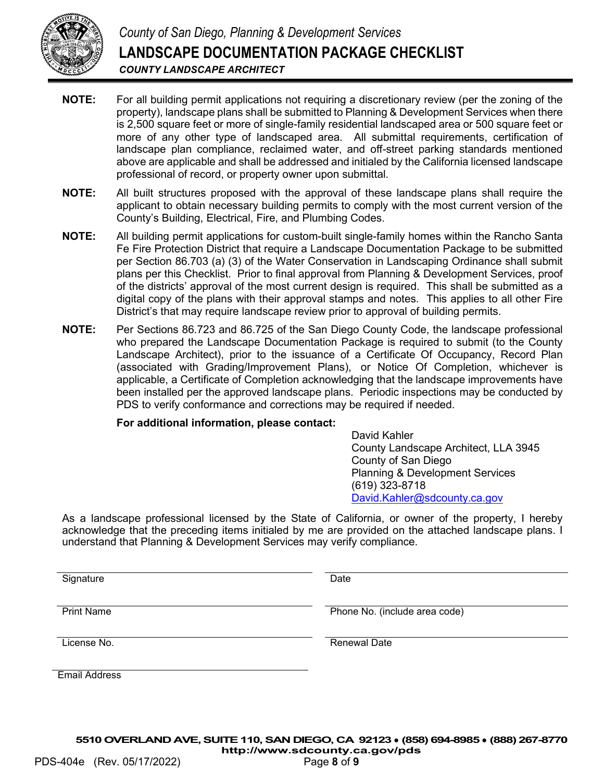

- **NOTE:** For all building permit applications not requiring a discretionary review (per the zoning of the property), landscape plans shall be submitted to Planning & Development Services when there is 2,500 square feet or more of single-family residential landscaped area or 500 square feet or more of any other type of landscaped area. All submittal requirements, certification of landscape plan compliance, reclaimed water, and off-street parking standards mentioned above are applicable and shall be addressed and initialed by the California licensed landscape professional of record, or property owner upon submittal.
- **NOTE:** All built structures proposed with the approval of these landscape plans shall require the applicant to obtain necessary building permits to comply with the most current version of the County's Building, Electrical, Fire, and Plumbing Codes.
- **NOTE:** All building permit applications for custom-built single-family homes within the Rancho Santa Fe Fire Protection District that require a Landscape Documentation Package to be submitted per Section 86.703 (a) (3) of the Water Conservation in Landscaping Ordinance shall submit plans per this Checklist. Prior to final approval from Planning & Development Services, proof of the districts' approval of the most current design is required. This shall be submitted as a digital copy of the plans with their approval stamps and notes. This applies to all other Fire District's that may require landscape review prior to approval of building permits.
- **NOTE:** Per Sections 86.723 and 86.725 of the San Diego County Code, the landscape professional who prepared the Landscape Documentation Package is required to submit (to the County Landscape Architect), prior to the issuance of a Certificate Of Occupancy, Record Plan (associated with Grading/Improvement Plans), or Notice Of Completion, whichever is applicable, a Certificate of Completion acknowledging that the landscape improvements have been installed per the approved landscape plans. Periodic inspections may be conducted by PDS to verify conformance and corrections may be required if needed.

#### **For additional information, please contact:**

David Kahler County Landscape Architect, LLA 3945 County of San Diego Planning & Development Services (619) 323-8718 [David.Kahler@sdcounty.ca.gov](mailto:David.Kahler@sdcounty.ca.gov)

As a landscape professional licensed by the State of California, or owner of the property, I hereby acknowledge that the preceding items initialed by me are provided on the attached landscape plans. I understand that Planning & Development Services may verify compliance.

Signature Date Date

Print Name **Phone No.** (include area code)

License No. **Renewal Date Renewal Date** 

Email Address